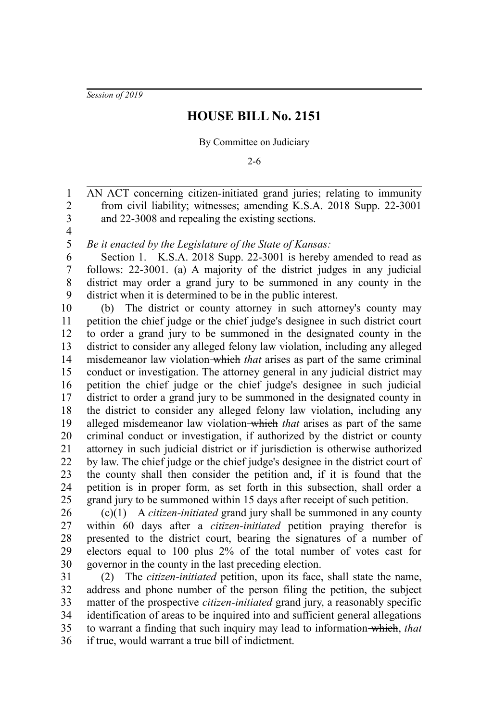*Session of 2019*

## **HOUSE BILL No. 2151**

By Committee on Judiciary

2-6

AN ACT concerning citizen-initiated grand juries; relating to immunity from civil liability; witnesses; amending K.S.A. 2018 Supp. 22-3001 and 22-3008 and repealing the existing sections. 1 2 3

4 5

*Be it enacted by the Legislature of the State of Kansas:*

Section 1. K.S.A. 2018 Supp. 22-3001 is hereby amended to read as follows: 22-3001. (a) A majority of the district judges in any judicial district may order a grand jury to be summoned in any county in the district when it is determined to be in the public interest. 6 7 8 9

(b) The district or county attorney in such attorney's county may petition the chief judge or the chief judge's designee in such district court to order a grand jury to be summoned in the designated county in the district to consider any alleged felony law violation, including any alleged misdemeanor law violation which *that* arises as part of the same criminal conduct or investigation. The attorney general in any judicial district may petition the chief judge or the chief judge's designee in such judicial district to order a grand jury to be summoned in the designated county in the district to consider any alleged felony law violation, including any alleged misdemeanor law violation which *that* arises as part of the same criminal conduct or investigation, if authorized by the district or county attorney in such judicial district or if jurisdiction is otherwise authorized by law. The chief judge or the chief judge's designee in the district court of the county shall then consider the petition and, if it is found that the petition is in proper form, as set forth in this subsection, shall order a grand jury to be summoned within 15 days after receipt of such petition. 10 11 12 13 14 15 16 17 18 19 20 21 22 23 24 25

(c)(1) A *citizen-initiated* grand jury shall be summoned in any county within 60 days after a *citizen-initiated* petition praying therefor is presented to the district court, bearing the signatures of a number of electors equal to 100 plus 2% of the total number of votes cast for governor in the county in the last preceding election. 26 27 28 29 30

(2) The *citizen-initiated* petition, upon its face, shall state the name, address and phone number of the person filing the petition, the subject matter of the prospective *citizen-initiated* grand jury, a reasonably specific identification of areas to be inquired into and sufficient general allegations to warrant a finding that such inquiry may lead to information which, *that* if true, would warrant a true bill of indictment. 31 32 33 34 35 36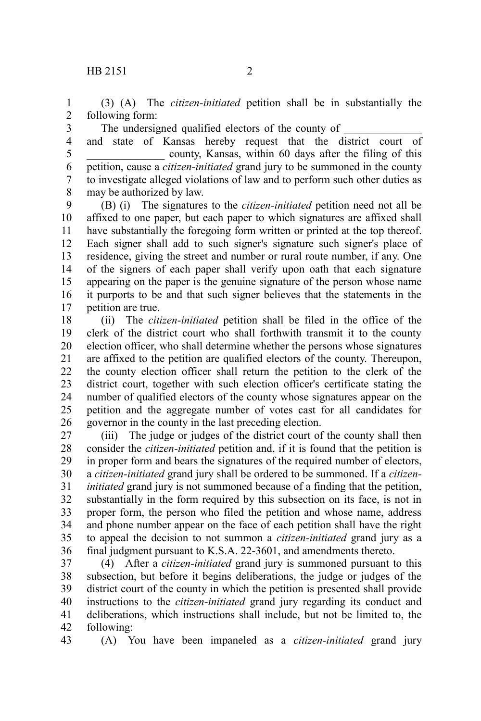3

(3) (A) The *citizen-initiated* petition shall be in substantially the following form: 1 2

The undersigned qualified electors of the county of

and state of Kansas hereby request that the district court of county, Kansas, within 60 days after the filing of this petition, cause a *citizen-initiated* grand jury to be summoned in the county to investigate alleged violations of law and to perform such other duties as may be authorized by law. 4 5 6 7 8

(B) (i) The signatures to the *citizen-initiated* petition need not all be affixed to one paper, but each paper to which signatures are affixed shall have substantially the foregoing form written or printed at the top thereof. Each signer shall add to such signer's signature such signer's place of residence, giving the street and number or rural route number, if any. One of the signers of each paper shall verify upon oath that each signature appearing on the paper is the genuine signature of the person whose name it purports to be and that such signer believes that the statements in the petition are true. 9 10 11 12 13 14 15 16 17

(ii) The *citizen-initiated* petition shall be filed in the office of the clerk of the district court who shall forthwith transmit it to the county election officer, who shall determine whether the persons whose signatures are affixed to the petition are qualified electors of the county. Thereupon, the county election officer shall return the petition to the clerk of the district court, together with such election officer's certificate stating the number of qualified electors of the county whose signatures appear on the petition and the aggregate number of votes cast for all candidates for governor in the county in the last preceding election. 18 19 20 21 22 23 24 25 26

(iii) The judge or judges of the district court of the county shall then consider the *citizen-initiated* petition and, if it is found that the petition is in proper form and bears the signatures of the required number of electors, a *citizen-initiated* grand jury shall be ordered to be summoned. If a *citizeninitiated* grand jury is not summoned because of a finding that the petition, substantially in the form required by this subsection on its face, is not in proper form, the person who filed the petition and whose name, address and phone number appear on the face of each petition shall have the right to appeal the decision to not summon a *citizen-initiated* grand jury as a final judgment pursuant to K.S.A. 22-3601, and amendments thereto. 27 28 29 30 31 32 33 34 35 36

(4) After a *citizen-initiated* grand jury is summoned pursuant to this subsection, but before it begins deliberations, the judge or judges of the district court of the county in which the petition is presented shall provide instructions to the *citizen-initiated* grand jury regarding its conduct and deliberations, which instructions shall include, but not be limited to, the following: 37 38 39 40 41 42

43

(A) You have been impaneled as a *citizen-initiated* grand jury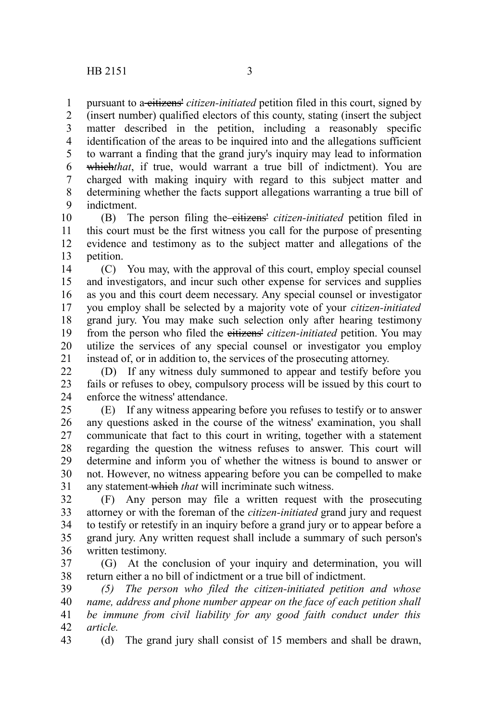pursuant to a citizens' *citizen-initiated* petition filed in this court, signed by 1

(insert number) qualified electors of this county, stating (insert the subject matter described in the petition, including a reasonably specific identification of the areas to be inquired into and the allegations sufficient to warrant a finding that the grand jury's inquiry may lead to information which*that*, if true, would warrant a true bill of indictment). You are charged with making inquiry with regard to this subject matter and determining whether the facts support allegations warranting a true bill of indictment. 2 3 4 5 6 7 8 9

(B) The person filing the citizens' *citizen-initiated* petition filed in this court must be the first witness you call for the purpose of presenting evidence and testimony as to the subject matter and allegations of the petition. 10 11 12 13

(C) You may, with the approval of this court, employ special counsel and investigators, and incur such other expense for services and supplies as you and this court deem necessary. Any special counsel or investigator you employ shall be selected by a majority vote of your *citizen-initiated* grand jury. You may make such selection only after hearing testimony from the person who filed the eitizens' *citizen-initiated* petition. You may utilize the services of any special counsel or investigator you employ instead of, or in addition to, the services of the prosecuting attorney. 14 15 16 17 18 19 20 21

(D) If any witness duly summoned to appear and testify before you fails or refuses to obey, compulsory process will be issued by this court to enforce the witness' attendance. 22 23 24

(E) If any witness appearing before you refuses to testify or to answer any questions asked in the course of the witness' examination, you shall communicate that fact to this court in writing, together with a statement regarding the question the witness refuses to answer. This court will determine and inform you of whether the witness is bound to answer or not. However, no witness appearing before you can be compelled to make any statement which *that* will incriminate such witness. 25 26 27 28 29 30 31

(F) Any person may file a written request with the prosecuting attorney or with the foreman of the *citizen-initiated* grand jury and request to testify or retestify in an inquiry before a grand jury or to appear before a grand jury. Any written request shall include a summary of such person's written testimony. 32 33 34 35 36

(G) At the conclusion of your inquiry and determination, you will return either a no bill of indictment or a true bill of indictment. 37 38

*(5) The person who filed the citizen-initiated petition and whose name, address and phone number appear on the face of each petition shall be immune from civil liability for any good faith conduct under this article.* 39 40 41 42

(d) The grand jury shall consist of 15 members and shall be drawn, 43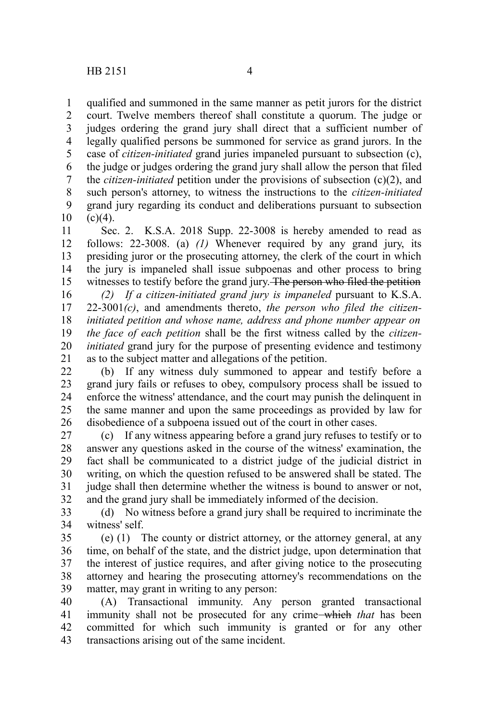qualified and summoned in the same manner as petit jurors for the district court. Twelve members thereof shall constitute a quorum. The judge or judges ordering the grand jury shall direct that a sufficient number of legally qualified persons be summoned for service as grand jurors. In the case of *citizen-initiated* grand juries impaneled pursuant to subsection (c), the judge or judges ordering the grand jury shall allow the person that filed the *citizen-initiated* petition under the provisions of subsection (c)(2), and such person's attorney, to witness the instructions to the *citizen-initiated* grand jury regarding its conduct and deliberations pursuant to subsection  $(c)(4)$ . 1 2 3 4 5 6 7 8 9 10

Sec. 2. K.S.A. 2018 Supp. 22-3008 is hereby amended to read as follows: 22-3008. (a) *(1)* Whenever required by any grand jury, its presiding juror or the prosecuting attorney, the clerk of the court in which the jury is impaneled shall issue subpoenas and other process to bring witnesses to testify before the grand jury. The person who filed the petition 11 12 13 14 15

*(2) If a citizen-initiated grand jury is impaneled* pursuant to K.S.A. 22-3001*(c)*, and amendments thereto, *the person who filed the citizeninitiated petition and whose name, address and phone number appear on the face of each petition* shall be the first witness called by the *citizeninitiated* grand jury for the purpose of presenting evidence and testimony as to the subject matter and allegations of the petition. 16 17 18 19 20 21

(b) If any witness duly summoned to appear and testify before a grand jury fails or refuses to obey, compulsory process shall be issued to enforce the witness' attendance, and the court may punish the delinquent in the same manner and upon the same proceedings as provided by law for disobedience of a subpoena issued out of the court in other cases. 22 23 24 25 26

(c) If any witness appearing before a grand jury refuses to testify or to answer any questions asked in the course of the witness' examination, the fact shall be communicated to a district judge of the judicial district in writing, on which the question refused to be answered shall be stated. The judge shall then determine whether the witness is bound to answer or not, and the grand jury shall be immediately informed of the decision. 27 28 29 30 31 32

(d) No witness before a grand jury shall be required to incriminate the witness' self. 33 34

(e) (1) The county or district attorney, or the attorney general, at any time, on behalf of the state, and the district judge, upon determination that the interest of justice requires, and after giving notice to the prosecuting attorney and hearing the prosecuting attorney's recommendations on the matter, may grant in writing to any person: 35 36 37 38 39

(A) Transactional immunity. Any person granted transactional immunity shall not be prosecuted for any crime which *that* has been committed for which such immunity is granted or for any other transactions arising out of the same incident. 40 41 42 43